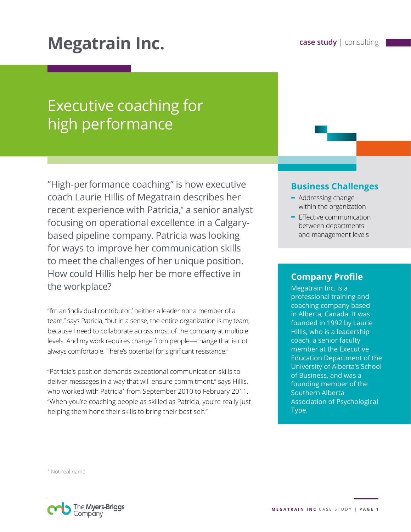# **Megatrain Inc. case study** | consulting

## Executive coaching for high performance

"High-performance coaching" is how executive coach Laurie Hillis of Megatrain describes her recent experience with Patricia,\* a senior analyst focusing on operational excellence in a Calgarybased pipeline company. Patricia was looking for ways to improve her communication skills to meet the challenges of her unique position. How could Hillis help her be more effective in the workplace?

"I'm an 'individual contributor,' neither a leader nor a member of a team," says Patricia, "but in a sense, the entire organization is my team, because I need to collaborate across most of the company at multiple levels. And my work requires change from people—change that is not always comfortable. There's potential for significant resistance."

"Patricia's position demands exceptional communication skills to deliver messages in a way that will ensure commitment," says Hillis, who worked with Patricia\* from September 2010 to February 2011. "When you're coaching people as skilled as Patricia, you're really just helping them hone their skills to bring their best self."

## **Business Challenges**

- **-** Addressing change within the organization
- **-** Effective communication between departments and management levels

#### **Company Profile**

Megatrain Inc. is a professional training and coaching company based in Alberta, Canada. It was founded in 1992 by Laurie Hillis, who is a leadership coach, a senior faculty member at the Executive Education Department of the University of Alberta's School of Business, and was a founding member of the Southern Alberta Association of Psychological Type.

\* Not real name

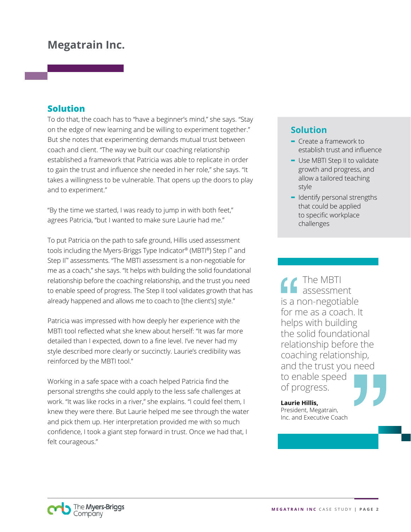## **Megatrain Inc.**

## **Solution**

To do that, the coach has to "have a beginner's mind," she says. "Stay on the edge of new learning and be willing to experiment together." But she notes that experimenting demands mutual trust between coach and client. "The way we built our coaching relationship established a framework that Patricia was able to replicate in order to gain the trust and influence she needed in her role," she says. "It takes a willingness to be vulnerable. That opens up the doors to play and to experiment."

"By the time we started, I was ready to jump in with both feet," agrees Patricia, "but I wanted to make sure Laurie had me."

To put Patricia on the path to safe ground, Hillis used assessment tools including the Myers-Briggs Type Indicator® (MBTI®) Step I™ and Step II™ assessments. "The MBTI assessment is a non-negotiable for me as a coach," she says. "It helps with building the solid foundational relationship before the coaching relationship, and the trust you need to enable speed of progress. The Step II tool validates growth that has already happened and allows me to coach to [the client's] style."

Patricia was impressed with how deeply her experience with the MBTI tool reflected what she knew about herself: "It was far more detailed than I expected, down to a fine level. I've never had my style described more clearly or succinctly. Laurie's credibility was reinforced by the MBTI tool."

Working in a safe space with a coach helped Patricia find the personal strengths she could apply to the less safe challenges at work. "It was like rocks in a river," she explains. "I could feel them, I knew they were there. But Laurie helped me see through the water and pick them up. Her interpretation provided me with so much confidence, I took a giant step forward in trust. Once we had that, I felt courageous."

## **Solution**

- **-** Create a framework to establish trust and influence
- **-** Use MBTI Step II to validate growth and progress, and allow a tailored teaching style
- **-** Identify personal strengths that could be applied to specific workplace challenges

The MBTI assessment is a non-negotiable for me as a coach. It helps with building the solid foundational relationship before the coaching relationship, and the trust you need to enable speed of progress.

**Laurie Hillis,**  President, Megatrain, Inc. and Executive Coach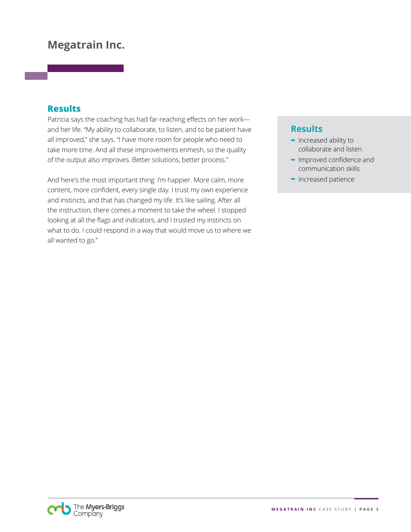## **Megatrain Inc.**

#### **Results**

Patricia says the coaching has had far-reaching effects on her work and her life. "My ability to collaborate, to listen, and to be patient have all improved," she says. "I have more room for people who need to take more time. And all these improvements enmesh, so the quality of the output also improves. Better solutions, better process."

And here's the most important thing: I'm happier. More calm, more content, more confident, every single day. I trust my own experience and instincts, and that has changed my life. It's like sailing. After all the instruction, there comes a moment to take the wheel. I stopped looking at all the flags and indicators, and I trusted my instincts on what to do. I could respond in a way that would move us to where we all wanted to go."

## **Results**

- **-** Increased ability to collaborate and listen
- **-** Improved confidence and communication skills
- **-** Increased patience